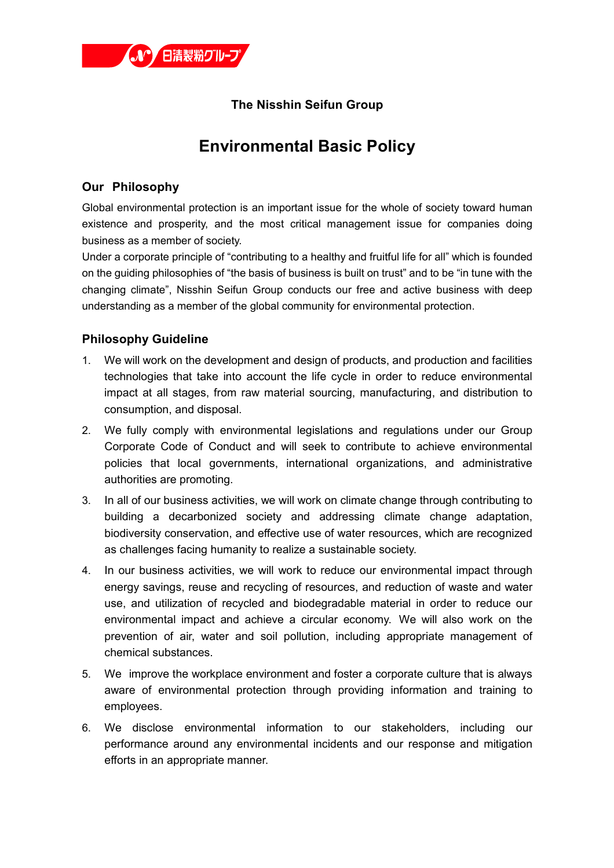

## **The Nisshin Seifun Group**

## **Environmental Basic Policy**

## **Our Philosophy**

Global environmental protection is an important issue for the whole of society toward human existence and prosperity, and the most critical management issue for companies doing business as a member of society.

Under a corporate principle of "contributing to a healthy and fruitful life for all" which is founded on the guiding philosophies of "the basis of business is built on trust" and to be "in tune with the changing climate", Nisshin Seifun Group conducts our free and active business with deep understanding as a member of the global community for environmental protection.

## **Philosophy Guideline**

- 1. We will work on the development and design of products, and production and facilities technologies that take into account the life cycle in order to reduce environmental impact at all stages, from raw material sourcing, manufacturing, and distribution to consumption, and disposal.
- 2. We fully comply with environmental legislations and regulations under our Group Corporate Code of Conduct and will seek to contribute to achieve environmental policies that local governments, international organizations, and administrative authorities are promoting.
- 3. In all of our business activities, we will work on climate change through contributing to building a decarbonized society and addressing climate change adaptation, biodiversity conservation, and effective use of water resources, which are recognized as challenges facing humanity to realize a sustainable society.
- 4. In our business activities, we will work to reduce our environmental impact through energy savings, reuse and recycling of resources, and reduction of waste and water use, and utilization of recycled and biodegradable material in order to reduce our environmental impact and achieve a circular economy. We will also work on the prevention of air, water and soil pollution, including appropriate management of chemical substances.
- 5. We improve the workplace environment and foster a corporate culture that is always aware of environmental protection through providing information and training to employees.
- 6. We disclose environmental information to our stakeholders, including our performance around any environmental incidents and our response and mitigation efforts in an appropriate manner.